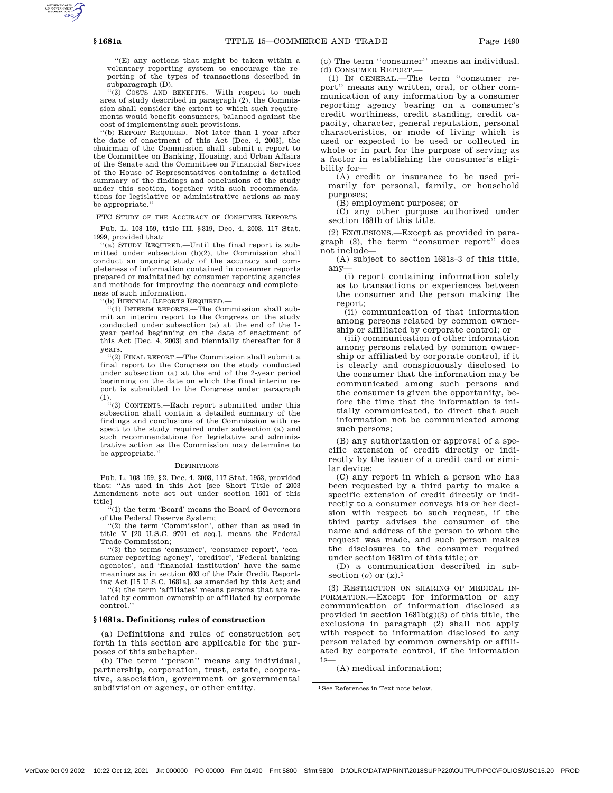''(E) any actions that might be taken within a voluntary reporting system to encourage the reporting of the types of transactions described in subparagraph (D).

''(3) COSTS AND BENEFITS.—With respect to each area of study described in paragraph (2), the Commission shall consider the extent to which such requirements would benefit consumers, balanced against the cost of implementing such provisions.

'(b) REPORT REQUIRED.—Not later than 1 year after the date of enactment of this Act [Dec. 4, 2003], the chairman of the Commission shall submit a report to the Committee on Banking, Housing, and Urban Affairs of the Senate and the Committee on Financial Services of the House of Representatives containing a detailed summary of the findings and conclusions of the study under this section, together with such recommendations for legislative or administrative actions as may be appropriate.''

FTC STUDY OF THE ACCURACY OF CONSUMER REPORTS

Pub. L. 108–159, title III, §319, Dec. 4, 2003, 117 Stat. 1999, provided that:

''(a) STUDY REQUIRED.—Until the final report is submitted under subsection (b)(2), the Commission shall conduct an ongoing study of the accuracy and completeness of information contained in consumer reports prepared or maintained by consumer reporting agencies and methods for improving the accuracy and completeness of such information.

''(b) BIENNIAL REPORTS REQUIRED.—

''(1) INTERIM REPORTS.—The Commission shall submit an interim report to the Congress on the study conducted under subsection (a) at the end of the 1 year period beginning on the date of enactment of this Act [Dec. 4, 2003] and biennially thereafter for 8 years.

''(2) FINAL REPORT.—The Commission shall submit a final report to the Congress on the study conducted under subsection (a) at the end of the 2-year period beginning on the date on which the final interim report is submitted to the Congress under paragraph (1).

''(3) CONTENTS.—Each report submitted under this subsection shall contain a detailed summary of the findings and conclusions of the Commission with respect to the study required under subsection (a) and such recommendations for legislative and administrative action as the Commission may determine to be appropriate.''

#### **DEFINITIONS**

Pub. L. 108–159, §2, Dec. 4, 2003, 117 Stat. 1953, provided that: ''As used in this Act [see Short Title of 2003 Amendment note set out under section 1601 of this title]—

''(1) the term 'Board' means the Board of Governors of the Federal Reserve System;

''(2) the term 'Commission', other than as used in title V [20 U.S.C. 9701 et seq.], means the Federal Trade Commission;

''(3) the terms 'consumer', 'consumer report', 'consumer reporting agency', 'creditor', 'Federal banking agencies', and 'financial institution' have the same meanings as in section 603 of the Fair Credit Reporting Act [15 U.S.C. 1681a], as amended by this Act; and

''(4) the term 'affiliates' means persons that are related by common ownership or affiliated by corporate control.''

## **§ 1681a. Definitions; rules of construction**

(a) Definitions and rules of construction set forth in this section are applicable for the purposes of this subchapter.

(b) The term ''person'' means any individual, partnership, corporation, trust, estate, cooperative, association, government or governmental subdivision or agency, or other entity.

(c) The term ''consumer'' means an individual. (d) CONSUMER REPORT.—

(1) IN GENERAL.—The term ''consumer report'' means any written, oral, or other communication of any information by a consumer reporting agency bearing on a consumer's credit worthiness, credit standing, credit capacity, character, general reputation, personal characteristics, or mode of living which is used or expected to be used or collected in whole or in part for the purpose of serving as a factor in establishing the consumer's eligibility for—

(A) credit or insurance to be used primarily for personal, family, or household purposes;

(B) employment purposes; or

(C) any other purpose authorized under section 1681b of this title.

(2) EXCLUSIONS.—Except as provided in paragraph (3), the term ''consumer report'' does not include—

(A) subject to section 1681s–3 of this title, any—

(i) report containing information solely as to transactions or experiences between the consumer and the person making the report;

(ii) communication of that information among persons related by common ownership or affiliated by corporate control; or

(iii) communication of other information among persons related by common ownership or affiliated by corporate control, if it is clearly and conspicuously disclosed to the consumer that the information may be communicated among such persons and the consumer is given the opportunity, before the time that the information is initially communicated, to direct that such information not be communicated among such persons;

(B) any authorization or approval of a specific extension of credit directly or indirectly by the issuer of a credit card or similar device;

(C) any report in which a person who has been requested by a third party to make a specific extension of credit directly or indirectly to a consumer conveys his or her decision with respect to such request, if the third party advises the consumer of the name and address of the person to whom the request was made, and such person makes the disclosures to the consumer required under section 1681m of this title; or

(D) a communication described in subsection  $(0)$  or  $(X)$ .<sup>1</sup>

(3) RESTRICTION ON SHARING OF MEDICAL IN-FORMATION.—Except for information or any communication of information disclosed as provided in section 1681b(g)(3) of this title, the exclusions in paragraph (2) shall not apply with respect to information disclosed to any person related by common ownership or affiliated by corporate control, if the information is—

(A) medical information;

<sup>1</sup>See References in Text note below.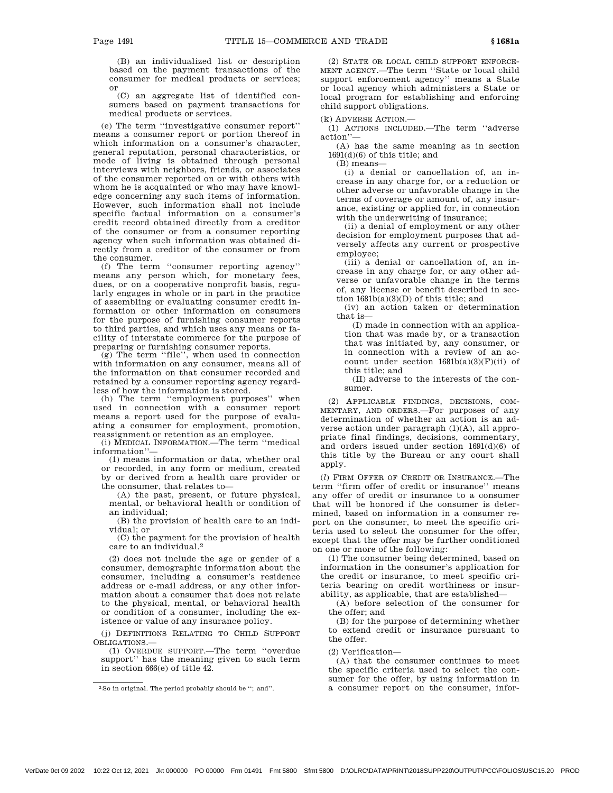(B) an individualized list or description based on the payment transactions of the consumer for medical products or services; or

(C) an aggregate list of identified consumers based on payment transactions for medical products or services.

(e) The term ''investigative consumer report'' means a consumer report or portion thereof in which information on a consumer's character, general reputation, personal characteristics, or mode of living is obtained through personal interviews with neighbors, friends, or associates of the consumer reported on or with others with whom he is acquainted or who may have knowledge concerning any such items of information. However, such information shall not include specific factual information on a consumer's credit record obtained directly from a creditor of the consumer or from a consumer reporting agency when such information was obtained directly from a creditor of the consumer or from the consumer.

(f) The term ''consumer reporting agency'' means any person which, for monetary fees, dues, or on a cooperative nonprofit basis, regularly engages in whole or in part in the practice of assembling or evaluating consumer credit information or other information on consumers for the purpose of furnishing consumer reports to third parties, and which uses any means or facility of interstate commerce for the purpose of preparing or furnishing consumer reports.

(g) The term ''file'', when used in connection with information on any consumer, means all of the information on that consumer recorded and retained by a consumer reporting agency regardless of how the information is stored.

(h) The term ''employment purposes'' when used in connection with a consumer report means a report used for the purpose of evaluating a consumer for employment, promotion, reassignment or retention as an employee.

(i) MEDICAL INFORMATION.—The term ''medical information"

(1) means information or data, whether oral or recorded, in any form or medium, created by or derived from a health care provider or the consumer, that relates to—

(A) the past, present, or future physical, mental, or behavioral health or condition of an individual;

(B) the provision of health care to an individual; or

(C) the payment for the provision of health care to an individual.2

(2) does not include the age or gender of a consumer, demographic information about the consumer, including a consumer's residence address or e-mail address, or any other information about a consumer that does not relate to the physical, mental, or behavioral health or condition of a consumer, including the existence or value of any insurance policy.

(j) DEFINITIONS RELATING TO CHILD SUPPORT OBLIGATIONS.—

(1) OVERDUE SUPPORT.—The term ''overdue support'' has the meaning given to such term in section 666(e) of title 42.

(2) STATE OR LOCAL CHILD SUPPORT ENFORCE-MENT AGENCY.—The term ''State or local child support enforcement agency'' means a State or local agency which administers a State or local program for establishing and enforcing child support obligations.

### (k) ADVERSE ACTION.—

(1) ACTIONS INCLUDED.—The term ''adverse action''—

(A) has the same meaning as in section 1691(d)(6) of this title; and

(B) means—

(i) a denial or cancellation of, an increase in any charge for, or a reduction or other adverse or unfavorable change in the terms of coverage or amount of, any insurance, existing or applied for, in connection with the underwriting of insurance;

(ii) a denial of employment or any other decision for employment purposes that adversely affects any current or prospective employee;

(iii) a denial or cancellation of, an increase in any charge for, or any other adverse or unfavorable change in the terms of, any license or benefit described in section 1681b(a)(3)(D) of this title; and

(iv) an action taken or determination that is—

(I) made in connection with an application that was made by, or a transaction that was initiated by, any consumer, or in connection with a review of an account under section  $1681b(a)(3)(F)(ii)$  of this title; and

(II) adverse to the interests of the consumer.

(2) APPLICABLE FINDINGS, DECISIONS, COM-MENTARY, AND ORDERS.—For purposes of any determination of whether an action is an adverse action under paragraph (1)(A), all appropriate final findings, decisions, commentary, and orders issued under section 1691(d)(6) of this title by the Bureau or any court shall apply.

(*l*) FIRM OFFER OF CREDIT OR INSURANCE.—The term ''firm offer of credit or insurance'' means any offer of credit or insurance to a consumer that will be honored if the consumer is determined, based on information in a consumer report on the consumer, to meet the specific criteria used to select the consumer for the offer, except that the offer may be further conditioned on one or more of the following:

(1) The consumer being determined, based on information in the consumer's application for the credit or insurance, to meet specific criteria bearing on credit worthiness or insurability, as applicable, that are established—

(A) before selection of the consumer for the offer; and

(B) for the purpose of determining whether to extend credit or insurance pursuant to the offer.

(2) Verification—

(A) that the consumer continues to meet the specific criteria used to select the consumer for the offer, by using information in a consumer report on the consumer, infor-

<sup>2</sup>So in original. The period probably should be ''; and''.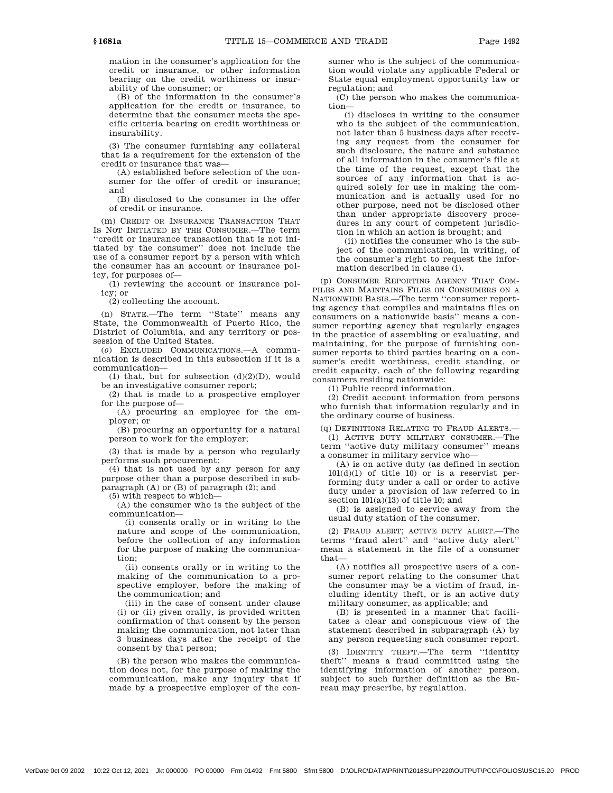mation in the consumer's application for the credit or insurance, or other information bearing on the credit worthiness or insurability of the consumer; or

(B) of the information in the consumer's application for the credit or insurance, to determine that the consumer meets the specific criteria bearing on credit worthiness or insurability.

(3) The consumer furnishing any collateral that is a requirement for the extension of the credit or insurance that was—

(A) established before selection of the consumer for the offer of credit or insurance; and

(B) disclosed to the consumer in the offer of credit or insurance.

(m) CREDIT OR INSURANCE TRANSACTION THAT IS NOT INITIATED BY THE CONSUMER.—The term ''credit or insurance transaction that is not initiated by the consumer'' does not include the use of a consumer report by a person with which the consumer has an account or insurance policy, for purposes of—

(1) reviewing the account or insurance policy; or

(2) collecting the account.

(n) STATE.—The term ''State'' means any State, the Commonwealth of Puerto Rico, the District of Columbia, and any territory or possession of the United States.

(*o*) EXCLUDED COMMUNICATIONS.—A communication is described in this subsection if it is a communication—

(1) that, but for subsection  $(d)(2)(D)$ , would be an investigative consumer report;

(2) that is made to a prospective employer for the purpose of—

(A) procuring an employee for the employer; or

(B) procuring an opportunity for a natural person to work for the employer;

(3) that is made by a person who regularly performs such procurement;

(4) that is not used by any person for any purpose other than a purpose described in subparagraph (A) or (B) of paragraph (2); and

(5) with respect to which—

(A) the consumer who is the subject of the communication—

(i) consents orally or in writing to the nature and scope of the communication, before the collection of any information for the purpose of making the communication;

(ii) consents orally or in writing to the making of the communication to a prospective employer, before the making of the communication; and

(iii) in the case of consent under clause (i) or (ii) given orally, is provided written confirmation of that consent by the person making the communication, not later than 3 business days after the receipt of the consent by that person;

(B) the person who makes the communication does not, for the purpose of making the communication, make any inquiry that if made by a prospective employer of the consumer who is the subject of the communication would violate any applicable Federal or State equal employment opportunity law or regulation; and

(C) the person who makes the communication—

(i) discloses in writing to the consumer who is the subject of the communication, not later than 5 business days after receiving any request from the consumer for such disclosure, the nature and substance of all information in the consumer's file at the time of the request, except that the sources of any information that is acquired solely for use in making the communication and is actually used for no other purpose, need not be disclosed other than under appropriate discovery procedures in any court of competent jurisdiction in which an action is brought; and

(ii) notifies the consumer who is the subject of the communication, in writing, of the consumer's right to request the information described in clause (i).

(p) CONSUMER REPORTING AGENCY THAT COM-PILES AND MAINTAINS FILES ON CONSUMERS ON A NATIONWIDE BASIS.—The term ''consumer reporting agency that compiles and maintains files on consumers on a nationwide basis'' means a consumer reporting agency that regularly engages in the practice of assembling or evaluating, and maintaining, for the purpose of furnishing consumer reports to third parties bearing on a consumer's credit worthiness, credit standing, or credit capacity, each of the following regarding consumers residing nationwide:

(1) Public record information.

(2) Credit account information from persons who furnish that information regularly and in the ordinary course of business.

(q) DEFINITIONS RELATING TO FRAUD ALERTS.—

(1) ACTIVE DUTY MILITARY CONSUMER.—The term ''active duty military consumer'' means a consumer in military service who—

(A) is on active duty (as defined in section  $101(d)(1)$  of title 10) or is a reservist performing duty under a call or order to active duty under a provision of law referred to in section 101(a)(13) of title 10; and

(B) is assigned to service away from the usual duty station of the consumer.

(2) FRAUD ALERT; ACTIVE DUTY ALERT.—The terms ''fraud alert'' and ''active duty alert'' mean a statement in the file of a consumer that—

(A) notifies all prospective users of a consumer report relating to the consumer that the consumer may be a victim of fraud, including identity theft, or is an active duty military consumer, as applicable; and

(B) is presented in a manner that facilitates a clear and conspicuous view of the statement described in subparagraph (A) by any person requesting such consumer report.

(3) IDENTITY THEFT.—The term ''identity theft'' means a fraud committed using the identifying information of another person, subject to such further definition as the Bureau may prescribe, by regulation.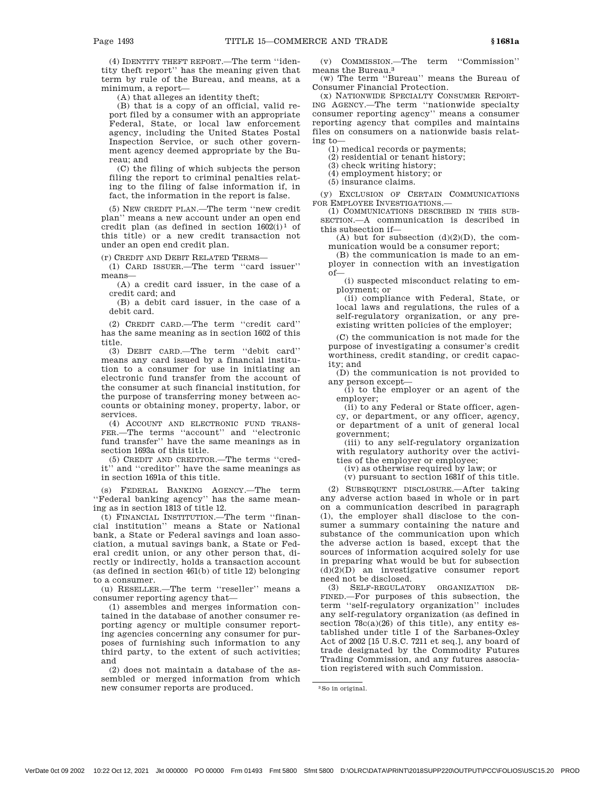(4) IDENTITY THEFT REPORT.—The term ''identity theft report'' has the meaning given that term by rule of the Bureau, and means, at a minimum, a report—

(A) that alleges an identity theft;

(B) that is a copy of an official, valid report filed by a consumer with an appropriate Federal, State, or local law enforcement agency, including the United States Postal Inspection Service, or such other government agency deemed appropriate by the Bureau; and

(C) the filing of which subjects the person filing the report to criminal penalties relating to the filing of false information if, in fact, the information in the report is false.

(5) NEW CREDIT PLAN.—The term ''new credit plan'' means a new account under an open end credit plan (as defined in section  $1602(i)^1$  of this title) or a new credit transaction not under an open end credit plan.

(r) CREDIT AND DEBIT RELATED TERMS—

(1) CARD ISSUER.—The term ''card issuer'' means—

(A) a credit card issuer, in the case of a credit card; and

(B) a debit card issuer, in the case of a debit card.

(2) CREDIT CARD.—The term ''credit card'' has the same meaning as in section 1602 of this title.

(3) DEBIT CARD.—The term ''debit card'' means any card issued by a financial institution to a consumer for use in initiating an electronic fund transfer from the account of the consumer at such financial institution, for the purpose of transferring money between accounts or obtaining money, property, labor, or services.

(4) ACCOUNT AND ELECTRONIC FUND TRANS-FER.—The terms ''account'' and ''electronic fund transfer'' have the same meanings as in section 1693a of this title.

(5) CREDIT AND CREDITOR.—The terms ''credit'' and ''creditor'' have the same meanings as in section 1691a of this title.

(s) FEDERAL BANKING AGENCY.—The term ''Federal banking agency'' has the same meaning as in section 1813 of title 12.

(t) FINANCIAL INSTITUTION.—The term ''financial institution'' means a State or National bank, a State or Federal savings and loan association, a mutual savings bank, a State or Federal credit union, or any other person that, directly or indirectly, holds a transaction account (as defined in section 461(b) of title 12) belonging to a consumer.

(u) RESELLER.—The term ''reseller'' means a consumer reporting agency that—

(1) assembles and merges information contained in the database of another consumer reporting agency or multiple consumer reporting agencies concerning any consumer for purposes of furnishing such information to any third party, to the extent of such activities; and

(2) does not maintain a database of the assembled or merged information from which new consumer reports are produced.

(v) COMMISSION.—The term ''Commission'' means the Bureau<sup>3</sup>

(w) The term ''Bureau'' means the Bureau of Consumer Financial Protection.

(x) NATIONWIDE SPECIALTY CONSUMER REPORT-ING AGENCY.—The term ''nationwide specialty consumer reporting agency'' means a consumer reporting agency that compiles and maintains files on consumers on a nationwide basis relating to—

(1) medical records or payments;

(2) residential or tenant history;

(3) check writing history;

(4) employment history; or

(5) insurance claims.

(y) EXCLUSION OF CERTAIN COMMUNICATIONS FOR EMPLOYEE INVESTIGATIONS.—

(1) COMMUNICATIONS DESCRIBED IN THIS SUB-SECTION.—A communication is described in this subsection if—

(A) but for subsection  $(d)(2)(D)$ , the communication would be a consumer report;

(B) the communication is made to an employer in connection with an investigation of—

(i) suspected misconduct relating to employment; or

(ii) compliance with Federal, State, or local laws and regulations, the rules of a self-regulatory organization, or any preexisting written policies of the employer;

(C) the communication is not made for the purpose of investigating a consumer's credit worthiness, credit standing, or credit capacity; and

(D) the communication is not provided to any person except—

(i) to the employer or an agent of the employer;

(ii) to any Federal or State officer, agency, or department, or any officer, agency, or department of a unit of general local government;

(iii) to any self-regulatory organization with regulatory authority over the activities of the employer or employee;

(iv) as otherwise required by law; or

(v) pursuant to section 1681f of this title.

(2) SUBSEQUENT DISCLOSURE.—After taking any adverse action based in whole or in part on a communication described in paragraph (1), the employer shall disclose to the consumer a summary containing the nature and substance of the communication upon which the adverse action is based, except that the sources of information acquired solely for use in preparing what would be but for subsection (d)(2)(D) an investigative consumer report need not be disclosed.

(3) SELF-REGULATORY ORGANIZATION DE-FINED.—For purposes of this subsection, the term ''self-regulatory organization'' includes any self-regulatory organization (as defined in section  $78c(a)(26)$  of this title), any entity established under title I of the Sarbanes-Oxley Act of 2002 [15 U.S.C. 7211 et seq.], any board of trade designated by the Commodity Futures Trading Commission, and any futures association registered with such Commission.

3So in original.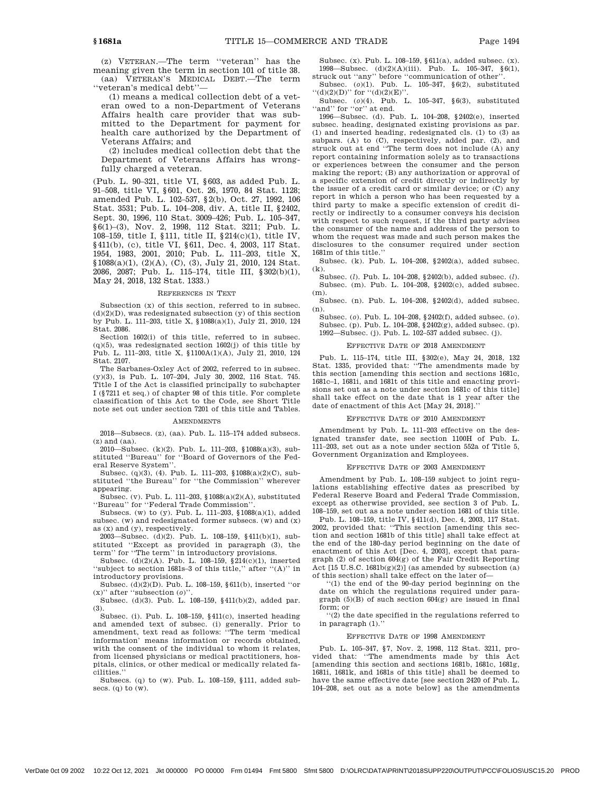(z) VETERAN.—The term ''veteran'' has the meaning given the term in section 101 of title 38. (aa) VETERAN'S MEDICAL DEBT.—The term ''veteran's medical debt''—

(1) means a medical collection debt of a veteran owed to a non-Department of Veterans Affairs health care provider that was submitted to the Department for payment for health care authorized by the Department of Veterans Affairs; and

(2) includes medical collection debt that the Department of Veterans Affairs has wrongfully charged a veteran.

(Pub. L. 90–321, title VI, §603, as added Pub. L. 91–508, title VI, §601, Oct. 26, 1970, 84 Stat. 1128; amended Pub. L. 102–537, §2(b), Oct. 27, 1992, 106 Stat. 3531; Pub. L. 104–208, div. A, title II, §2402, Sept. 30, 1996, 110 Stat. 3009–426; Pub. L. 105–347, §6(1)–(3), Nov. 2, 1998, 112 Stat. 3211; Pub. L. 108–159, title I, §111, title II, §214(c)(1), title IV, §411(b), (c), title VI, §611, Dec. 4, 2003, 117 Stat. 1954, 1983, 2001, 2010; Pub. L. 111–203, title X, §1088(a)(1), (2)(A), (C), (3), July 21, 2010, 124 Stat. 2086, 2087; Pub. L. 115–174, title III, §302(b)(1), May 24, 2018, 132 Stat. 1333.)

### REFERENCES IN TEXT

Subsection (x) of this section, referred to in subsec.  $\rm (d)(2)(D),$  was redesignated subsection  $\rm (y)$  of this section by Pub. L. 111–203, title X, §1088(a)(1), July 21, 2010, 124 Stat. 2086.

Section 1602(i) of this title, referred to in subsec. (q)(5), was redesignated section 1602(j) of this title by Pub. L. 111–203, title X, §1100A(1)(A), July 21, 2010, 124 Stat. 2107.

The Sarbanes-Oxley Act of 2002, referred to in subsec. (y)(3), is Pub. L. 107–204, July 30, 2002, 116 Stat. 745. Title I of the Act is classified principally to subchapter I (§7211 et seq.) of chapter 98 of this title. For complete classification of this Act to the Code, see Short Title note set out under section 7201 of this title and Tables.

### **AMENDMENTS**

2018—Subsecs. (z), (aa). Pub. L. 115–174 added subsecs. (z) and (aa).

2010—Subsec. (k)(2). Pub. L. 111–203, §1088(a)(3), substituted ''Bureau'' for ''Board of Governors of the Federal Reserve System''.

Subsec. (q)(3), (4). Pub. L. 111–203, §1088(a)(2)(C), substituted ''the Bureau'' for ''the Commission'' wherever appearing.

Subsec. (v). Pub. L. 111–203, §1088(a)(2)(A), substituted ''Bureau'' for ''Federal Trade Commission''.

Subsecs. (w) to (y). Pub. L. 111–203, §1088(a)(1), added subsec. (w) and redesignated former subsecs. (w) and (x) as (x) and (y), respectively.

2003—Subsec. (d)(2). Pub. L. 108–159, §411(b)(1), substituted ''Except as provided in paragraph (3), the term'' for ''The term'' in introductory provisions.

Subsec. (d)(2)(A). Pub. L. 108–159, §214(c)(1), inserted ''subject to section 1681s–3 of this title,'' after ''(A)'' in introductory provisions.

Subsec. (d)(2)(D). Pub. L. 108–159, §611(b), inserted ''or (x)'' after ''subsection (*o*)''.

Subsec. (d)(3). Pub. L. 108–159, §411(b)(2), added par. (3).

Subsec. (i). Pub. L. 108-159, §411(c), inserted heading and amended text of subsec. (i) generally. Prior to amendment, text read as follows: ''The term 'medical information' means information or records obtained, with the consent of the individual to whom it relates. from licensed physicians or medical practitioners, hospitals, clinics, or other medical or medically related facilities.''

Subsecs. (q) to (w). Pub. L. 108–159, §111, added subsecs.  $(q)$  to  $(w)$ .

Subsec. (x). Pub. L. 108–159, §611(a), added subsec. (x). 1998—Subsec. (d)(2)(A)(iii). Pub. L. 105–347, §6(1),

struck out ''any'' before ''communication of other''. Subsec. (*o*)(1). Pub. L. 105–347, §6(2), substituted  $'(d)(2)(D)$ " for  $''(d)(2)(E)$ ".

Subsec. (*o*)(4). Pub. L. 105–347, §6(3), substituted "and" for "or" at end.

1996—Subsec. (d). Pub. L. 104–208, §2402(e), inserted subsec. heading, designated existing provisions as par. (1) and inserted heading, redesignated cls. (1) to (3) as subpars. (A) to (C), respectively, added par. (2), and struck out at end ''The term does not include (A) any report containing information solely as to transactions or experiences between the consumer and the person making the report; (B) any authorization or approval of a specific extension of credit directly or indirectly by the issuer of a credit card or similar device; or (C) any report in which a person who has been requested by a third party to make a specific extension of credit directly or indirectly to a consumer conveys his decision with respect to such request, if the third party advises the consumer of the name and address of the person to whom the request was made and such person makes the disclosures to the consumer required under section 1681m of this title.''

Subsec. (k). Pub. L. 104–208, §2402(a), added subsec. (k).

Subsec. (*l*). Pub. L. 104–208, §2402(b), added subsec. (*l*). Subsec. (m). Pub. L. 104–208, §2402(c), added subsec. (m).

Subsec. (n). Pub. L. 104–208, §2402(d), added subsec. (n).

Subsec. (*o*). Pub. L. 104–208, §2402(f), added subsec. (*o*). Subsec. (p). Pub. L. 104–208, §2402(g), added subsec. (p). 1992—Subsec. (j). Pub. L. 102–537 added subsec. (j).

## EFFECTIVE DATE OF 2018 AMENDMENT

Pub. L. 115–174, title III, §302(e), May 24, 2018, 132 Stat. 1335, provided that: ''The amendments made by this section [amending this section and sections 1681c, 1681c–1, 1681i, and 1681t of this title and enacting provisions set out as a note under section 1681c of this title] shall take effect on the date that is 1 year after the date of enactment of this Act [May 24, 2018].''

### EFFECTIVE DATE OF 2010 AMENDMENT

Amendment by Pub. L. 111–203 effective on the designated transfer date, see section 1100H of Pub. L. 111–203, set out as a note under section 552a of Title 5, Government Organization and Employees.

# EFFECTIVE DATE OF 2003 AMENDMENT

Amendment by Pub. L. 108–159 subject to joint regulations establishing effective dates as prescribed by Federal Reserve Board and Federal Trade Commission, except as otherwise provided, see section 3 of Pub. L. 108–159, set out as a note under section 1681 of this title.

Pub. L. 108–159, title IV, §411(d), Dec. 4, 2003, 117 Stat. 2002, provided that: ''This section [amending this section and section 1681b of this title] shall take effect at the end of the 180-day period beginning on the date of enactment of this Act [Dec. 4, 2003], except that paragraph (2) of section 604(g) of the Fair Credit Reporting  $\operatorname{Act}$  [15 U.S.C. 1681b(g)(2)] (as amended by subsection (a) of this section) shall take effect on the later of—

''(1) the end of the 90-day period beginning on the date on which the regulations required under paragraph (5)(B) of such section 604(g) are issued in final form; or

''(2) the date specified in the regulations referred to in paragraph (1).

### EFFECTIVE DATE OF 1998 AMENDMENT

Pub. L. 105–347, §7, Nov. 2, 1998, 112 Stat. 3211, provided that: ''The amendments made by this Act [amending this section and sections 1681b, 1681c, 1681g, 1681i, 1681k, and 1681s of this title] shall be deemed to have the same effective date [see section 2420 of Pub. L. 104–208, set out as a note below] as the amendments